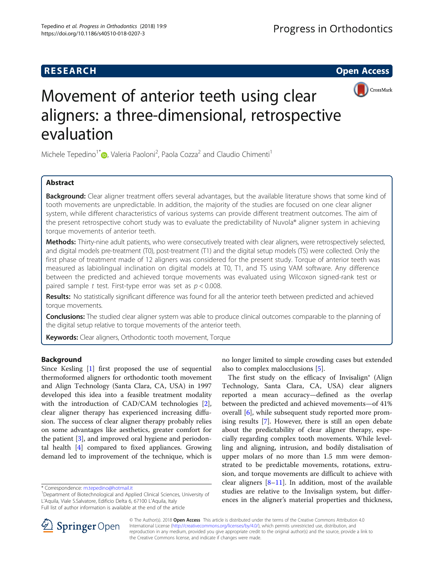

# Movement of anterior teeth using clear aligners: a three-dimensional, retrospective evaluation

Michele Tepedino<sup>1\*</sup> (D, Valeria Paoloni<sup>2</sup>, Paola Cozza<sup>2</sup> and Claudio Chimenti<sup>1</sup>

# Abstract

Background: Clear aligner treatment offers several advantages, but the available literature shows that some kind of tooth movements are unpredictable. In addition, the majority of the studies are focused on one clear aligner system, while different characteristics of various systems can provide different treatment outcomes. The aim of the present retrospective cohort study was to evaluate the predictability of Nuvola® aligner system in achieving torque movements of anterior teeth.

Methods: Thirty-nine adult patients, who were consecutively treated with clear aligners, were retrospectively selected, and digital models pre-treatment (T0), post-treatment (T1) and the digital setup models (TS) were collected. Only the first phase of treatment made of 12 aligners was considered for the present study. Torque of anterior teeth was measured as labiolingual inclination on digital models at T0, T1, and TS using VAM software. Any difference between the predicted and achieved torque movements was evaluated using Wilcoxon signed-rank test or paired sample t test. First-type error was set as  $p < 0.008$ .

Results: No statistically significant difference was found for all the anterior teeth between predicted and achieved torque movements.

Conclusions: The studied clear aligner system was able to produce clinical outcomes comparable to the planning of the digital setup relative to torque movements of the anterior teeth.

Keywords: Clear aligners, Orthodontic tooth movement, Torque

# Background

Since Kesling [[1\]](#page-6-0) first proposed the use of sequential thermoformed aligners for orthodontic tooth movement and Align Technology (Santa Clara, CA, USA) in 1997 developed this idea into a feasible treatment modality with the introduction of CAD/CAM technologies [\[2](#page-6-0)], clear aligner therapy has experienced increasing diffusion. The success of clear aligner therapy probably relies on some advantages like aesthetics, greater comfort for the patient [[3\]](#page-6-0), and improved oral hygiene and periodontal health [\[4](#page-6-0)] compared to fixed appliances. Growing demand led to improvement of the technique, which is

no longer limited to simple crowding cases but extended also to complex malocclusions [\[5\]](#page-6-0).

The first study on the efficacy of Invisalign® (Align Technology, Santa Clara, CA, USA) clear aligners reported a mean accuracy—defined as the overlap between the predicted and achieved movements—of 41% overall [\[6](#page-6-0)], while subsequent study reported more promising results [\[7](#page-6-0)]. However, there is still an open debate about the predictability of clear aligner therapy, especially regarding complex tooth movements. While levelling and aligning, intrusion, and bodily distalisation of upper molars of no more than 1.5 mm were demonstrated to be predictable movements, rotations, extrusion, and torque movements are difficult to achieve with clear aligners  $[8-11]$  $[8-11]$  $[8-11]$ . In addition, most of the available studies are relative to the Invisalign system, but differences in the aligner's material properties and thickness,



© The Author(s). 2018 Open Access This article is distributed under the terms of the Creative Commons Attribution 4.0 International License ([http://creativecommons.org/licenses/by/4.0/\)](http://creativecommons.org/licenses/by/4.0/), which permits unrestricted use, distribution, and reproduction in any medium, provided you give appropriate credit to the original author(s) and the source, provide a link to the Creative Commons license, and indicate if changes were made.

<sup>\*</sup> Correspondence: [m.tepedino@hotmail.it](mailto:m.tepedino@hotmail.it) <sup>1</sup>

<sup>&</sup>lt;sup>1</sup>Department of Biotechnological and Applied Clinical Sciences, University of L'Aquila, Viale S.Salvatore, Edificio Delta 6, 67100 L'Aquila, Italy Full list of author information is available at the end of the article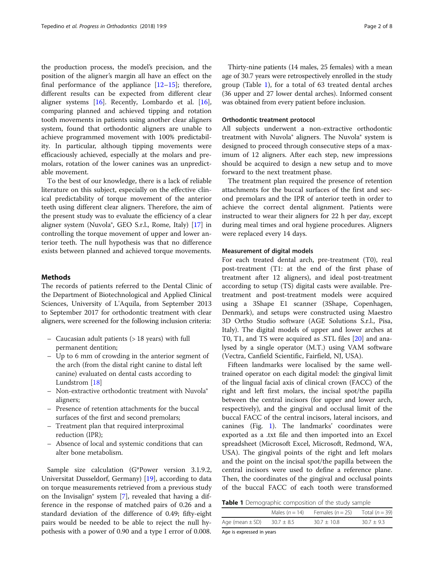the production process, the model's precision, and the position of the aligner's margin all have an effect on the final performance of the appliance [\[12](#page-6-0)–[15\]](#page-7-0); therefore, different results can be expected from different clear aligner systems [\[16\]](#page-7-0). Recently, Lombardo et al. [\[16](#page-7-0)], comparing planned and achieved tipping and rotation tooth movements in patients using another clear aligners system, found that orthodontic aligners are unable to achieve programmed movement with 100% predictability. In particular, although tipping movements were efficaciously achieved, especially at the molars and premolars, rotation of the lower canines was an unpredictable movement.

To the best of our knowledge, there is a lack of reliable literature on this subject, especially on the effective clinical predictability of torque movement of the anterior teeth using different clear aligners. Therefore, the aim of the present study was to evaluate the efficiency of a clear aligner system (Nuvola®, GEO S.r.l., Rome, Italy) [[17\]](#page-7-0) in controlling the torque movement of upper and lower anterior teeth. The null hypothesis was that no difference exists between planned and achieved torque movements.

## Methods

The records of patients referred to the Dental Clinic of the Department of Biotechnological and Applied Clinical Sciences, University of L'Aquila, from September 2013 to September 2017 for orthodontic treatment with clear aligners, were screened for the following inclusion criteria:

- Caucasian adult patients (> 18 years) with full permanent dentition;
- Up to 6 mm of crowding in the anterior segment of the arch (from the distal right canine to distal left canine) evaluated on dental casts according to Lundstrom [\[18](#page-7-0)]
- Non-extractive orthodontic treatment with Nuvola® aligners;
- Presence of retention attachments for the buccal surfaces of the first and second premolars;
- Treatment plan that required interproximal reduction (IPR);
- Absence of local and systemic conditions that can alter bone metabolism.

Sample size calculation (G\*Power version 3.1.9.2, Universitat Dusseldorf, Germany) [[19\]](#page-7-0), according to data on torque measurements retrieved from a previous study on the Invisalign® system [\[7](#page-6-0)], revealed that having a difference in the response of matched pairs of 0.26 and a standard deviation of the difference of 0.49; fifty-eight pairs would be needed to be able to reject the null hypothesis with a power of 0.90 and a type I error of 0.008.

Thirty-nine patients (14 males, 25 females) with a mean age of 30.7 years were retrospectively enrolled in the study group (Table 1), for a total of 63 treated dental arches (36 upper and 27 lower dental arches). Informed consent was obtained from every patient before inclusion.

## Orthodontic treatment protocol

All subjects underwent a non-extractive orthodontic treatment with Nuvola® aligners. The Nuvola® system is designed to proceed through consecutive steps of a maximum of 12 aligners. After each step, new impressions should be acquired to design a new setup and to move forward to the next treatment phase.

The treatment plan required the presence of retention attachments for the buccal surfaces of the first and second premolars and the IPR of anterior teeth in order to achieve the correct dental alignment. Patients were instructed to wear their aligners for 22 h per day, except during meal times and oral hygiene procedures. Aligners were replaced every 14 days.

### Measurement of digital models

For each treated dental arch, pre-treatment (T0), real post-treatment (T1: at the end of the first phase of treatment after 12 aligners), and ideal post-treatment according to setup (TS) digital casts were available. Pretreatment and post-treatment models were acquired using a 3Shape E1 scanner (3Shape, Copenhagen, Denmark), and setups were constructed using Maestro 3D Ortho Studio software (AGE Solutions S.r.l., Pisa, Italy). The digital models of upper and lower arches at T0, T1, and TS were acquired as .STL files [[20\]](#page-7-0) and analysed by a single operator (M.T.) using VAM software (Vectra, Canfield Scientific, Fairfield, NJ, USA).

Fifteen landmarks were localised by the same welltrained operator on each digital model: the gingival limit of the lingual facial axis of clinical crown (FACC) of the right and left first molars, the incisal spot/the papilla between the central incisors (for upper and lower arch, respectively), and the gingival and occlusal limit of the buccal FACC of the central incisors, lateral incisors, and canines (Fig. [1](#page-2-0)). The landmarks' coordinates were exported as a .txt file and then imported into an Excel spreadsheet (Microsoft Excel, Microsoft, Redmond, WA, USA). The gingival points of the right and left molars and the point on the incisal spot/the papilla between the central incisors were used to define a reference plane. Then, the coordinates of the gingival and occlusal points of the buccal FACC of each tooth were transformed

|  | Table 1 Demographic composition of the study sample |  |  |  |  |
|--|-----------------------------------------------------|--|--|--|--|
|--|-----------------------------------------------------|--|--|--|--|

|                 | Males $(n=14)$ | Females ( $n = 25$ ) | Total $(n = 39)$ |
|-----------------|----------------|----------------------|------------------|
| Age (mean ± SD) | $30.7 \pm 8.5$ | $30.7 + 10.8$        | $30.7 + 9.3$     |

Age is expressed in years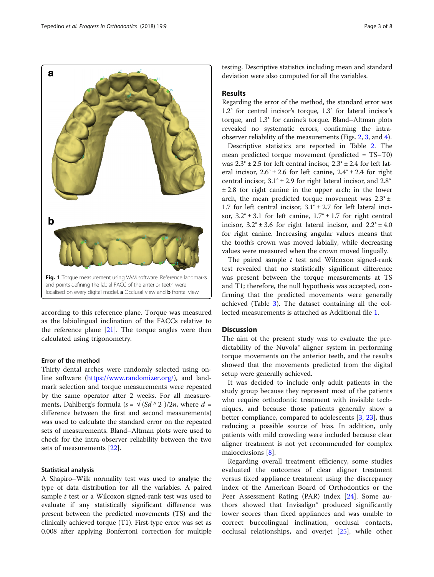<span id="page-2-0"></span>

according to this reference plane. Torque was measured as the labiolingual inclination of the FACCs relative to the reference plane [\[21](#page-7-0)]. The torque angles were then calculated using trigonometry.

## Error of the method

Thirty dental arches were randomly selected using online software ([https://www.randomizer.org/\)](https://www.randomizer.org/), and landmark selection and torque measurements were repeated by the same operator after 2 weeks. For all measurements, Dahlberg's formula ( $s = \sqrt{\frac{Sd \cdot 2}{2n}}$ , where  $d =$ difference between the first and second measurements) was used to calculate the standard error on the repeated sets of measurements. Bland–Altman plots were used to check for the intra-observer reliability between the two sets of measurements [\[22](#page-7-0)].

## Statistical analysis

A Shapiro–Wilk normality test was used to analyse the type of data distribution for all the variables. A paired sample  $t$  test or a Wilcoxon signed-rank test was used to evaluate if any statistically significant difference was present between the predicted movements (TS) and the clinically achieved torque (T1). First-type error was set as 0.008 after applying Bonferroni correction for multiple

testing. Descriptive statistics including mean and standard deviation were also computed for all the variables.

## Results

Regarding the error of the method, the standard error was 1.2° for central incisor's torque, 1.3° for lateral incisor's torque, and 1.3° for canine's torque. Bland–Altman plots revealed no systematic errors, confirming the intraobserver reliability of the measurements (Figs. [2](#page-3-0), [3,](#page-3-0) and [4\)](#page-4-0).

Descriptive statistics are reported in Table [2.](#page-4-0) The mean predicted torque movement (predicted = TS–T0) was  $2.3^{\circ} \pm 2.5$  for left central incisor,  $2.3^{\circ} \pm 2.4$  for left lateral incisor,  $2.6^{\circ} \pm 2.6$  for left canine,  $2.4^{\circ} \pm 2.4$  for right central incisor, 3.1° ± 2.9 for right lateral incisor, and 2.8° ± 2.8 for right canine in the upper arch; in the lower arch, the mean predicted torque movement was 2.3° ± 1.7 for left central incisor,  $3.1^{\circ} \pm 2.7$  for left lateral incisor,  $3.2^{\circ} \pm 3.1$  for left canine,  $1.7^{\circ} \pm 1.7$  for right central incisor,  $3.2^{\circ} \pm 3.6$  for right lateral incisor, and  $2.2^{\circ} \pm 4.0$ for right canine. Increasing angular values means that the tooth's crown was moved labially, while decreasing values were measured when the crown moved lingually.

The paired sample  $t$  test and Wilcoxon signed-rank test revealed that no statistically significant difference was present between the torque measurements at TS and T1; therefore, the null hypothesis was accepted, confirming that the predicted movements were generally achieved (Table [3\)](#page-5-0). The dataset containing all the collected measurements is attached as Additional file [1](#page-6-0).

## Discussion

The aim of the present study was to evaluate the predictability of the Nuvola® aligner system in performing torque movements on the anterior teeth, and the results showed that the movements predicted from the digital setup were generally achieved.

It was decided to include only adult patients in the study group because they represent most of the patients who require orthodontic treatment with invisible techniques, and because those patients generally show a better compliance, compared to adolescents [\[3](#page-6-0), [23](#page-7-0)], thus reducing a possible source of bias. In addition, only patients with mild crowding were included because clear aligner treatment is not yet recommended for complex malocclusions [\[8](#page-6-0)].

Regarding overall treatment efficiency, some studies evaluated the outcomes of clear aligner treatment versus fixed appliance treatment using the discrepancy index of the American Board of Orthodontics or the Peer Assessment Rating (PAR) index [[24\]](#page-7-0). Some authors showed that Invisalign® produced significantly lower scores than fixed appliances and was unable to correct buccolingual inclination, occlusal contacts, occlusal relationships, and overjet [[25](#page-7-0)], while other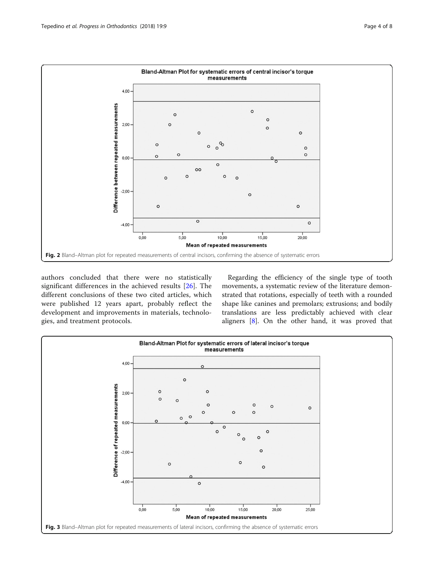<span id="page-3-0"></span>

authors concluded that there were no statistically significant differences in the achieved results [[26\]](#page-7-0). The different conclusions of these two cited articles, which were published 12 years apart, probably reflect the development and improvements in materials, technologies, and treatment protocols.

Regarding the efficiency of the single type of tooth movements, a systematic review of the literature demonstrated that rotations, especially of teeth with a rounded shape like canines and premolars; extrusions; and bodily translations are less predictably achieved with clear aligners [\[8](#page-6-0)]. On the other hand, it was proved that

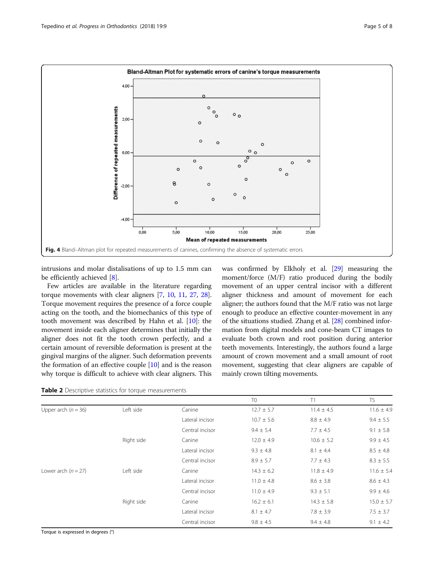<span id="page-4-0"></span>

intrusions and molar distalisations of up to 1.5 mm can be efficiently achieved [\[8\]](#page-6-0).

Few articles are available in the literature regarding torque movements with clear aligners [[7](#page-6-0), [10,](#page-6-0) [11](#page-6-0), [27,](#page-7-0) [28](#page-7-0)]. Torque movement requires the presence of a force couple acting on the tooth, and the biomechanics of this type of tooth movement was described by Hahn et al. [[10](#page-6-0)]: the movement inside each aligner determines that initially the aligner does not fit the tooth crown perfectly, and a certain amount of reversible deformation is present at the gingival margins of the aligner. Such deformation prevents the formation of an effective couple [\[10\]](#page-6-0) and is the reason why torque is difficult to achieve with clear aligners. This was confirmed by Elkholy et al. [\[29\]](#page-7-0) measuring the moment/force (M/F) ratio produced during the bodily movement of an upper central incisor with a different aligner thickness and amount of movement for each aligner; the authors found that the M/F ratio was not large enough to produce an effective counter-movement in any of the situations studied. Zhang et al. [\[28\]](#page-7-0) combined information from digital models and cone-beam CT images to evaluate both crown and root position during anterior teeth movements. Interestingly, the authors found a large amount of crown movement and a small amount of root movement, suggesting that clear aligners are capable of mainly crown tilting movements.

| Table 2 Descriptive statistics for torque measurements |  |
|--------------------------------------------------------|--|
|--------------------------------------------------------|--|

|                       |            |                 | T0             | T1             | TS             |
|-----------------------|------------|-----------------|----------------|----------------|----------------|
| Upper arch $(n = 36)$ | Left side  | Canine          | $12.7 \pm 5.7$ | $11.4 \pm 4.5$ | $11.6 \pm 4.9$ |
|                       |            | Lateral incisor | $10.7 \pm 5.6$ | $8.8 \pm 4.9$  | $9.4 \pm 5.5$  |
|                       |            | Central incisor | $9.4 \pm 5.4$  | $7.7 \pm 4.5$  | $9.1 \pm 5.8$  |
|                       | Right side | Canine          | $12.0 \pm 4.9$ | $10.6 \pm 5.2$ | $9.9 \pm 4.5$  |
|                       |            | Lateral incisor | $9.3 \pm 4.8$  | $8.1 \pm 4.4$  | $8.5 \pm 4.8$  |
|                       |            | Central incisor | $8.9 \pm 5.7$  | $7.7 \pm 4.3$  | $8.3 \pm 5.5$  |
| Lower arch $(n = 27)$ | Left side  | Canine          | $14.3 \pm 6.2$ | $11.8 \pm 4.9$ | $11.6 \pm 5.4$ |
|                       |            | Lateral incisor | $11.0 \pm 4.8$ | $8.6 \pm 3.8$  | $8.6 \pm 4.3$  |
|                       |            | Central incisor | $11.0 \pm 4.9$ | $9.3 \pm 5.1$  | $9.9 \pm 4.6$  |
|                       | Right side | Canine          | $16.2 \pm 6.1$ | $14.3 \pm 5.8$ | $15.0 \pm 5.7$ |
|                       |            | Lateral incisor | $8.1 \pm 4.7$  | $7.8 \pm 3.9$  | $7.5 \pm 3.7$  |
|                       |            | Central incisor | $9.8 \pm 4.5$  | $9.4 \pm 4.8$  | $9.1 \pm 4.2$  |

Torque is expressed in degrees (°)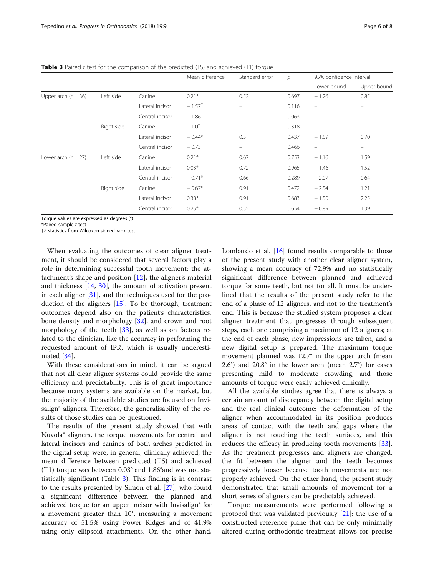<span id="page-5-0"></span>**Table 3** Paired t test for the comparison of the predicted (TS) and achieved (T1) torque

|                       |            |                 | Mean difference      | Standard error                 | $\mathcal{D}$ | 95% confidence interval  |                          |
|-----------------------|------------|-----------------|----------------------|--------------------------------|---------------|--------------------------|--------------------------|
|                       |            |                 |                      |                                |               | Lower bound              | Upper bound              |
| Upper arch $(n = 36)$ | Left side  | Canine          | $0.21*$              | 0.52                           | 0.697         | $-1.26$                  | 0.85                     |
|                       |            | Lateral incisor | $-1.57$ <sup>†</sup> | $\qquad \qquad \longleftarrow$ | 0.116         | $\overline{\phantom{m}}$ | -                        |
|                       |            | Central incisor | $-1.86^{\dagger}$    | -                              | 0.063         | $\overline{\phantom{m}}$ | $\overline{\phantom{m}}$ |
|                       | Right side | Canine          | $-1.0^{+}$           | $\qquad \qquad \longleftarrow$ | 0.318         | $\qquad \qquad -$        | -                        |
|                       |            | Lateral incisor | $-0.44*$             | 0.5                            | 0.437         | $-1.59$                  | 0.70                     |
|                       |            | Central incisor | $-0.73$ <sup>†</sup> | -                              | 0.466         | $\qquad \qquad -$        | -                        |
| Lower arch $(n = 27)$ | Left side  | Canine          | $0.21*$              | 0.67                           | 0.753         | $-1.16$                  | 1.59                     |
|                       |            | Lateral incisor | $0.03*$              | 0.72                           | 0.965         | $-1.46$                  | 1.52                     |
|                       |            | Central incisor | $-0.71*$             | 0.66                           | 0.289         | $-2.07$                  | 0.64                     |
|                       | Right side | Canine          | $-0.67*$             | 0.91                           | 0.472         | $-2.54$                  | 1.21                     |
|                       |            | Lateral incisor | $0.38*$              | 0.91                           | 0.683         | $-1.50$                  | 2.25                     |
|                       |            | Central incisor | $0.25*$              | 0.55                           | 0.654         | $-0.89$                  | 1.39                     |

Torque values are expressed as degrees (°)

\*Paired sample t test

†Z statistics from Wilcoxon signed-rank test

When evaluating the outcomes of clear aligner treatment, it should be considered that several factors play a role in determining successful tooth movement: the attachment's shape and position [[12\]](#page-6-0), the aligner's material and thickness [[14,](#page-7-0) [30](#page-7-0)], the amount of activation present in each aligner [[31](#page-7-0)], and the techniques used for the production of the aligners [[15\]](#page-7-0). To be thorough, treatment outcomes depend also on the patient's characteristics, bone density and morphology [\[32\]](#page-7-0), and crown and root morphology of the teeth [\[33](#page-7-0)], as well as on factors related to the clinician, like the accuracy in performing the requested amount of IPR, which is usually underestimated [\[34\]](#page-7-0).

With these considerations in mind, it can be argued that not all clear aligner systems could provide the same efficiency and predictability. This is of great importance because many systems are available on the market, but the majority of the available studies are focused on Invisalign<sup>®</sup> aligners. Therefore, the generalisability of the results of those studies can be questioned.

The results of the present study showed that with Nuvola® aligners, the torque movements for central and lateral incisors and canines of both arches predicted in the digital setup were, in general, clinically achieved; the mean difference between predicted (TS) and achieved (T1) torque was between 0.03° and 1.86°and was not statistically significant (Table 3). This finding is in contrast to the results presented by Simon et al. [\[27](#page-7-0)], who found a significant difference between the planned and achieved torque for an upper incisor with Invisalign® for a movement greater than 10°, measuring a movement accuracy of 51.5% using Power Ridges and of 41.9% using only ellipsoid attachments. On the other hand, Lombardo et al. [\[16](#page-7-0)] found results comparable to those of the present study with another clear aligner system, showing a mean accuracy of 72.9% and no statistically significant difference between planned and achieved torque for some teeth, but not for all. It must be underlined that the results of the present study refer to the end of a phase of 12 aligners, and not to the treatment's end. This is because the studied system proposes a clear aligner treatment that progresses through subsequent steps, each one comprising a maximum of 12 aligners; at the end of each phase, new impressions are taken, and a new digital setup is prepared. The maximum torque movement planned was 12.7° in the upper arch (mean 2.6°) and 20.8° in the lower arch (mean 2.7°) for cases presenting mild to moderate crowding, and those amounts of torque were easily achieved clinically.

All the available studies agree that there is always a certain amount of discrepancy between the digital setup and the real clinical outcome: the deformation of the aligner when accommodated in its position produces areas of contact with the teeth and gaps where the aligner is not touching the teeth surfaces, and this reduces the efficacy in producing tooth movements [\[33](#page-7-0)]. As the treatment progresses and aligners are changed, the fit between the aligner and the teeth becomes progressively looser because tooth movements are not properly achieved. On the other hand, the present study demonstrated that small amounts of movement for a short series of aligners can be predictably achieved.

Torque measurements were performed following a protocol that was validated previously  $[21]$  $[21]$ : the use of a constructed reference plane that can be only minimally altered during orthodontic treatment allows for precise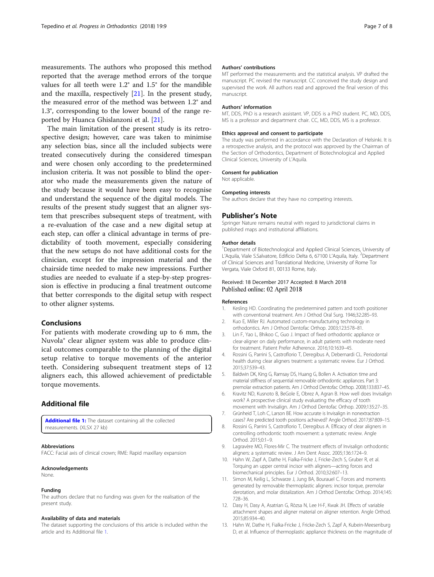<span id="page-6-0"></span>measurements. The authors who proposed this method reported that the average method errors of the torque values for all teeth were 1.2° and 1.5° for the mandible and the maxilla, respectively [\[21](#page-7-0)]. In the present study, the measured error of the method was between 1.2° and 1.3°, corresponding to the lower bound of the range reported by Huanca Ghislanzoni et al. [[21](#page-7-0)].

The main limitation of the present study is its retrospective design; however, care was taken to minimise any selection bias, since all the included subjects were treated consecutively during the considered timespan and were chosen only according to the predetermined inclusion criteria. It was not possible to blind the operator who made the measurements given the nature of the study because it would have been easy to recognise and understand the sequence of the digital models. The results of the present study suggest that an aligner system that prescribes subsequent steps of treatment, with a re-evaluation of the case and a new digital setup at each step, can offer a clinical advantage in terms of predictability of tooth movement, especially considering that the new setups do not have additional costs for the clinician, except for the impression material and the chairside time needed to make new impressions. Further studies are needed to evaluate if a step-by-step progression is effective in producing a final treatment outcome that better corresponds to the digital setup with respect to other aligner systems.

## Conclusions

For patients with moderate crowding up to 6 mm, the Nuvola® clear aligner system was able to produce clinical outcomes comparable to the planning of the digital setup relative to torque movements of the anterior teeth. Considering subsequent treatment steps of 12 aligners each, this allowed achievement of predictable torque movements.

## Additional file

[Additional file 1:](https://doi.org/10.1186/s40510-018-0207-3) The dataset containing all the collected measurements. (XLSX 27 kb)

#### Abbreviations

FACC: Facial axis of clinical crown; RME: Rapid maxillary expansion

#### Acknowledgements

None.

## Funding

The authors declare that no funding was given for the realisation of the present study

#### Availability of data and materials

The dataset supporting the conclusions of this article is included within the article and its Additional file 1.

## Authors' contributions

MT performed the measurements and the statistical analysis. VP drafted the manuscript. PC revised the manuscript. CC conceived the study design and supervised the work. All authors read and approved the final version of this manuscript.

#### Authors' information

MT, DDS, PhD is a research assistant. VP, DDS is a PhD student. PC, MD, DDS, MS is a professor and department chair. CC, MD, DDS, MS is a professor.

#### Ethics approval and consent to participate

The study was performed in accordance with the Declaration of Helsinki. It is a retrospective analysis, and the protocol was approved by the Chairman of the Section of Orthodontics, Department of Biotechnological and Applied Clinical Sciences, University of L'Aquila.

#### Consent for publication

Not applicable.

#### Competing interests

The authors declare that they have no competing interests.

#### Publisher's Note

Springer Nature remains neutral with regard to jurisdictional claims in published maps and institutional affiliations.

#### Author details

<sup>1</sup>Department of Biotechnological and Applied Clinical Sciences, University of L'Aquila, Viale S.Salvatore, Edificio Delta 6, 67100 L'Aquila, Italy. <sup>2</sup>Department of Clinical Sciences and Translational Medicine, University of Rome Tor Vergata, Viale Oxford 81, 00133 Rome, Italy.

## Received: 18 December 2017 Accepted: 8 March 2018 Published online: 02 April 2018

#### References

- 1. Kesling HD. Coordinating the predetermined pattern and tooth positioner with conventional treatment. Am J Orthod Oral Surg. 1946;32:285–93.
- 2. Kuo E, Miller RJ. Automated custom-manufacturing technology in orthodontics. Am J Orthod Dentofac Orthop. 2003;123:578–81.
- Lin F, Yao L, Bhikoo C, Guo J. Impact of fixed orthodontic appliance or clear-aligner on daily performance, in adult patients with moderate need for treatment. Patient Prefer Adherence. 2016;10:1639–45.
- 4. Rossini G, Parrini S, Castroflorio T, Deregibus A, Debernardi CL. Periodontal health during clear aligners treatment: a systematic review. Eur J Orthod. 2015;37:539–43.
- 5. Baldwin DK, King G, Ramsay DS, Huang G, Bollen A. Activation time and material stiffness of sequential removable orthodontic appliances. Part 3: premolar extraction patients. Am J Orthod Dentofac Orthop. 2008;133:837–45.
- 6. Kravitz ND, Kusnoto B, BeGole E, Obrez A, Agran B. How well does Invisalign work? A prospective clinical study evaluating the efficacy of tooth movement with Invisalign. Am J Orthod Dentofac Orthop. 2009;135:27–35.
- 7. Grünheid T, Loh C, Larson BE. How accurate is Invisalign in nonextraction cases? Are predicted tooth positions achieved? Angle Orthod. 2017;87:809–15.
- 8. Rossini G, Parrini S, Castroflorio T, Deregibus A. Efficacy of clear aligners in controlling orthodontic tooth movement: a systematic review. Angle Orthod. 2015;0:1–9.
- 9. Lagravère MO, Flores-Mir C. The treatment effects of Invisalign orthodontic aligners: a systematic review. J Am Dent Assoc. 2005;136:1724–9.
- 10. Hahn W, Zapf A, Dathe H, Fialka-Fricke J, Fricke-Zech S, Gruber R, et al. Torquing an upper central incisor with aligners—acting forces and biomechanical principles. Eur J Orthod. 2010;32:607–13.
- 11. Simon M, Keilig L, Schwarze J, Jung BA, Bourauel C. Forces and moments generated by removable thermoplastic aligners: incisor torque, premolar derotation, and molar distalization. Am J Orthod Dentofac Orthop. 2014;145: 728–36.
- 12. Dasy H, Dasy A, Asatrian G, Ròzsa N, Lee H-F, Kwak JH. Effects of variable attachment shapes and aligner material on aligner retention. Angle Orthod. 2015;85:934–40.
- 13. Hahn W, Dathe H, Fialka-Fricke J, Fricke-Zech S, Zapf A, Kubein-Meesenburg D, et al. Influence of thermoplastic appliance thickness on the magnitude of